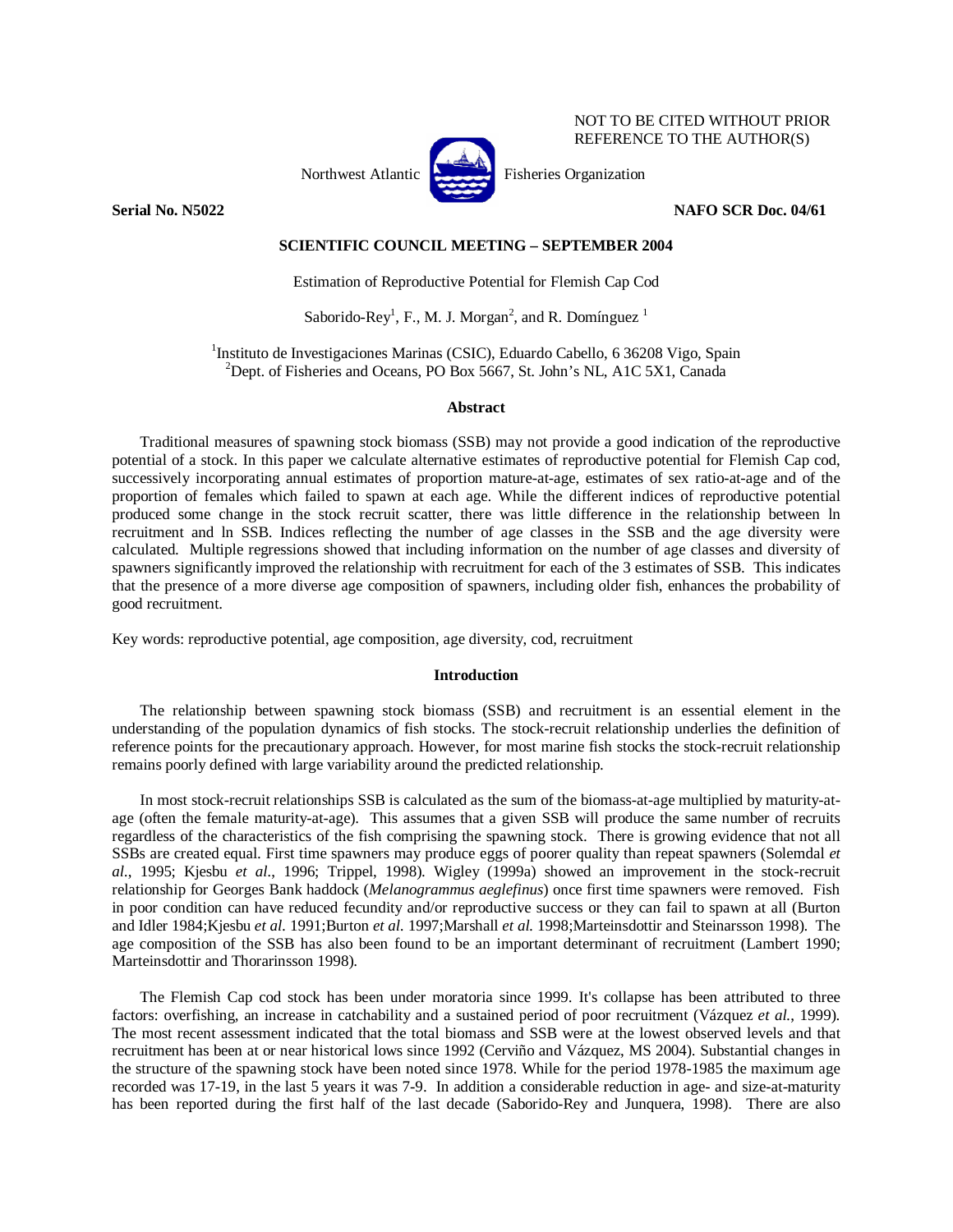

NOT TO BE CITED WITHOUT PRIOR REFERENCE TO THE AUTHOR(S)

# **Serial No. N5022 NAFO SCR Doc. 04/61**

# **SCIENTIFIC COUNCIL MEETING – SEPTEMBER 2004**

Estimation of Reproductive Potential for Flemish Cap Cod

Saborido-Rey<sup>1</sup>, F., M. J. Morgan<sup>2</sup>, and R. Domínguez<sup>1</sup>

<sup>1</sup>Instituto de Investigaciones Marinas (CSIC), Eduardo Cabello, 6 36208 Vigo, Spain <sup>2</sup>Dept. of Fisheries and Oceans, PO Box 5667, St. John's NL, A1C 5X1, Canada

## **Abstract**

Traditional measures of spawning stock biomass (SSB) may not provide a good indication of the reproductive potential of a stock. In this paper we calculate alternative estimates of reproductive potential for Flemish Cap cod, successively incorporating annual estimates of proportion mature-at-age, estimates of sex ratio-at-age and of the proportion of females which failed to spawn at each age. While the different indices of reproductive potential produced some change in the stock recruit scatter, there was little difference in the relationship between ln recruitment and ln SSB. Indices reflecting the number of age classes in the SSB and the age diversity were calculated. Multiple regressions showed that including information on the number of age classes and diversity of spawners significantly improved the relationship with recruitment for each of the 3 estimates of SSB. This indicates that the presence of a more diverse age composition of spawners, including older fish, enhances the probability of good recruitment.

Key words: reproductive potential, age composition, age diversity, cod, recruitment

# **Introduction**

The relationship between spawning stock biomass (SSB) and recruitment is an essential element in the understanding of the population dynamics of fish stocks. The stock-recruit relationship underlies the definition of reference points for the precautionary approach. However, for most marine fish stocks the stock-recruit relationship remains poorly defined with large variability around the predicted relationship.

In most stock-recruit relationships SSB is calculated as the sum of the biomass-at-age multiplied by maturity-atage (often the female maturity-at-age). This assumes that a given SSB will produce the same number of recruits regardless of the characteristics of the fish comprising the spawning stock. There is growing evidence that not all SSBs are created equal. First time spawners may produce eggs of poorer quality than repeat spawners (Solemdal *et al.*, 1995; Kjesbu *et al.*, 1996; Trippel, 1998). Wigley (1999a) showed an improvement in the stock-recruit relationship for Georges Bank haddock (*Melanogrammus aeglefinus*) once first time spawners were removed. Fish in poor condition can have reduced fecundity and/or reproductive success or they can fail to spawn at all (Burton and Idler 1984;Kjesbu *et al.* 1991;Burton *et al.* 1997;Marshall *et al.* 1998;Marteinsdottir and Steinarsson 1998). The age composition of the SSB has also been found to be an important determinant of recruitment (Lambert 1990; Marteinsdottir and Thorarinsson 1998).

The Flemish Cap cod stock has been under moratoria since 1999. It's collapse has been attributed to three factors: overfishing, an increase in catchability and a sustained period of poor recruitment (Vázquez *et al.*, 1999). The most recent assessment indicated that the total biomass and SSB were at the lowest observed levels and that recruitment has been at or near historical lows since 1992 (Cerviño and Vázquez, MS 2004). Substantial changes in the structure of the spawning stock have been noted since 1978. While for the period 1978-1985 the maximum age recorded was 17-19, in the last 5 years it was 7-9. In addition a considerable reduction in age- and size-at-maturity has been reported during the first half of the last decade (Saborido-Rey and Junquera, 1998). There are also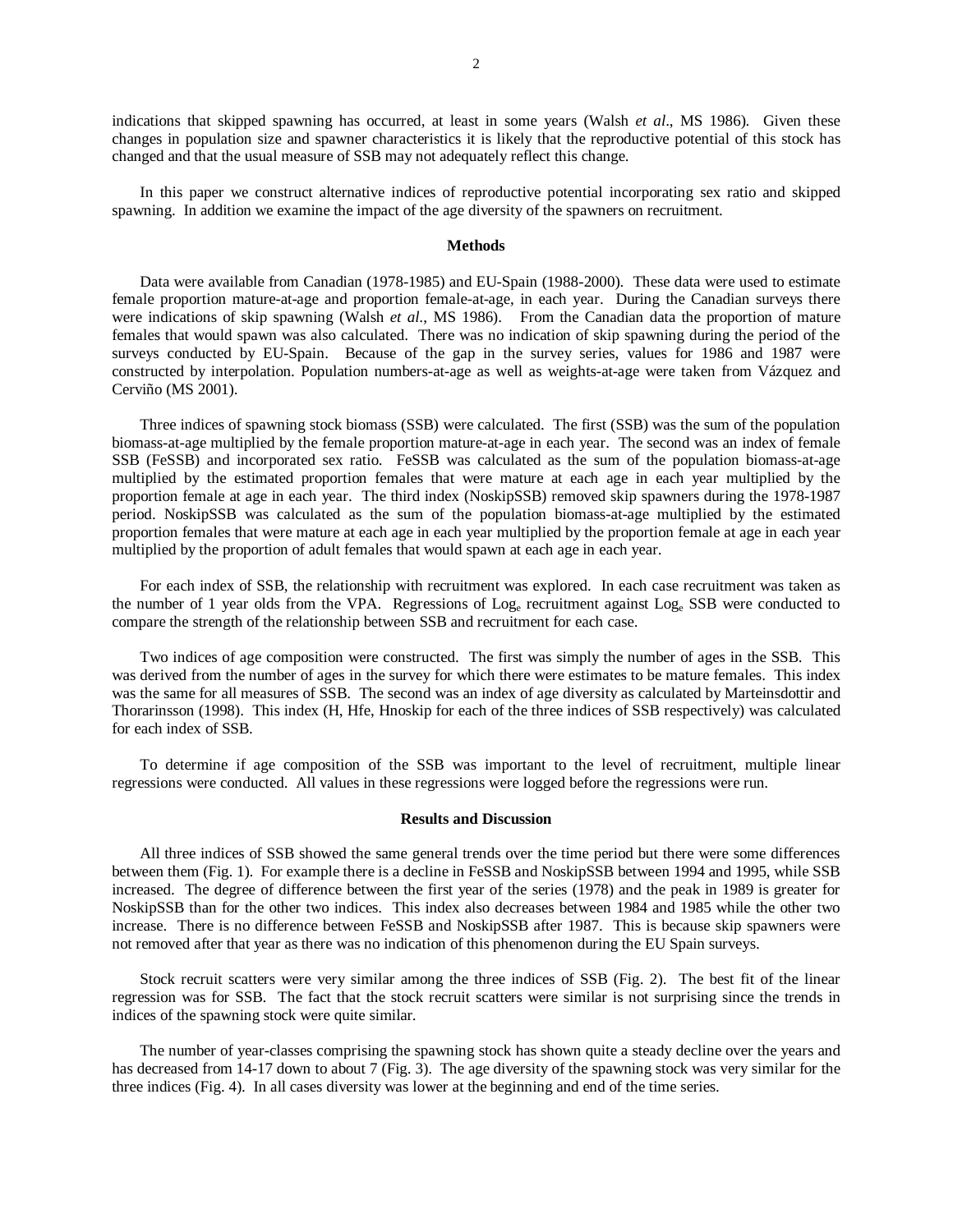indications that skipped spawning has occurred, at least in some years (Walsh *et al*., MS 1986). Given these changes in population size and spawner characteristics it is likely that the reproductive potential of this stock has changed and that the usual measure of SSB may not adequately reflect this change.

In this paper we construct alternative indices of reproductive potential incorporating sex ratio and skipped spawning. In addition we examine the impact of the age diversity of the spawners on recruitment.

### **Methods**

Data were available from Canadian (1978-1985) and EU-Spain (1988-2000). These data were used to estimate female proportion mature-at-age and proportion female-at-age, in each year. During the Canadian surveys there were indications of skip spawning (Walsh *et al*., MS 1986). From the Canadian data the proportion of mature females that would spawn was also calculated. There was no indication of skip spawning during the period of the surveys conducted by EU-Spain. Because of the gap in the survey series, values for 1986 and 1987 were constructed by interpolation. Population numbers-at-age as well as weights-at-age were taken from Vázquez and Cerviño (MS 2001).

Three indices of spawning stock biomass (SSB) were calculated. The first (SSB) was the sum of the population biomass-at-age multiplied by the female proportion mature-at-age in each year. The second was an index of female SSB (FeSSB) and incorporated sex ratio. FeSSB was calculated as the sum of the population biomass-at-age multiplied by the estimated proportion females that were mature at each age in each year multiplied by the proportion female at age in each year. The third index (NoskipSSB) removed skip spawners during the 1978-1987 period. NoskipSSB was calculated as the sum of the population biomass-at-age multiplied by the estimated proportion females that were mature at each age in each year multiplied by the proportion female at age in each year multiplied by the proportion of adult females that would spawn at each age in each year.

For each index of SSB, the relationship with recruitment was explored. In each case recruitment was taken as the number of 1 year olds from the VPA. Regressions of Loge recruitment against Loge SSB were conducted to compare the strength of the relationship between SSB and recruitment for each case.

Two indices of age composition were constructed. The first was simply the number of ages in the SSB. This was derived from the number of ages in the survey for which there were estimates to be mature females. This index was the same for all measures of SSB. The second was an index of age diversity as calculated by Marteinsdottir and Thorarinsson (1998). This index (H, Hfe, Hnoskip for each of the three indices of SSB respectively) was calculated for each index of SSB.

To determine if age composition of the SSB was important to the level of recruitment, multiple linear regressions were conducted. All values in these regressions were logged before the regressions were run.

#### **Results and Discussion**

All three indices of SSB showed the same general trends over the time period but there were some differences between them (Fig. 1). For example there is a decline in FeSSB and NoskipSSB between 1994 and 1995, while SSB increased. The degree of difference between the first year of the series (1978) and the peak in 1989 is greater for NoskipSSB than for the other two indices. This index also decreases between 1984 and 1985 while the other two increase. There is no difference between FeSSB and NoskipSSB after 1987. This is because skip spawners were not removed after that year as there was no indication of this phenomenon during the EU Spain surveys.

Stock recruit scatters were very similar among the three indices of SSB (Fig. 2). The best fit of the linear regression was for SSB. The fact that the stock recruit scatters were similar is not surprising since the trends in indices of the spawning stock were quite similar.

The number of year-classes comprising the spawning stock has shown quite a steady decline over the years and has decreased from 14-17 down to about 7 (Fig. 3). The age diversity of the spawning stock was very similar for the three indices (Fig. 4). In all cases diversity was lower at the beginning and end of the time series.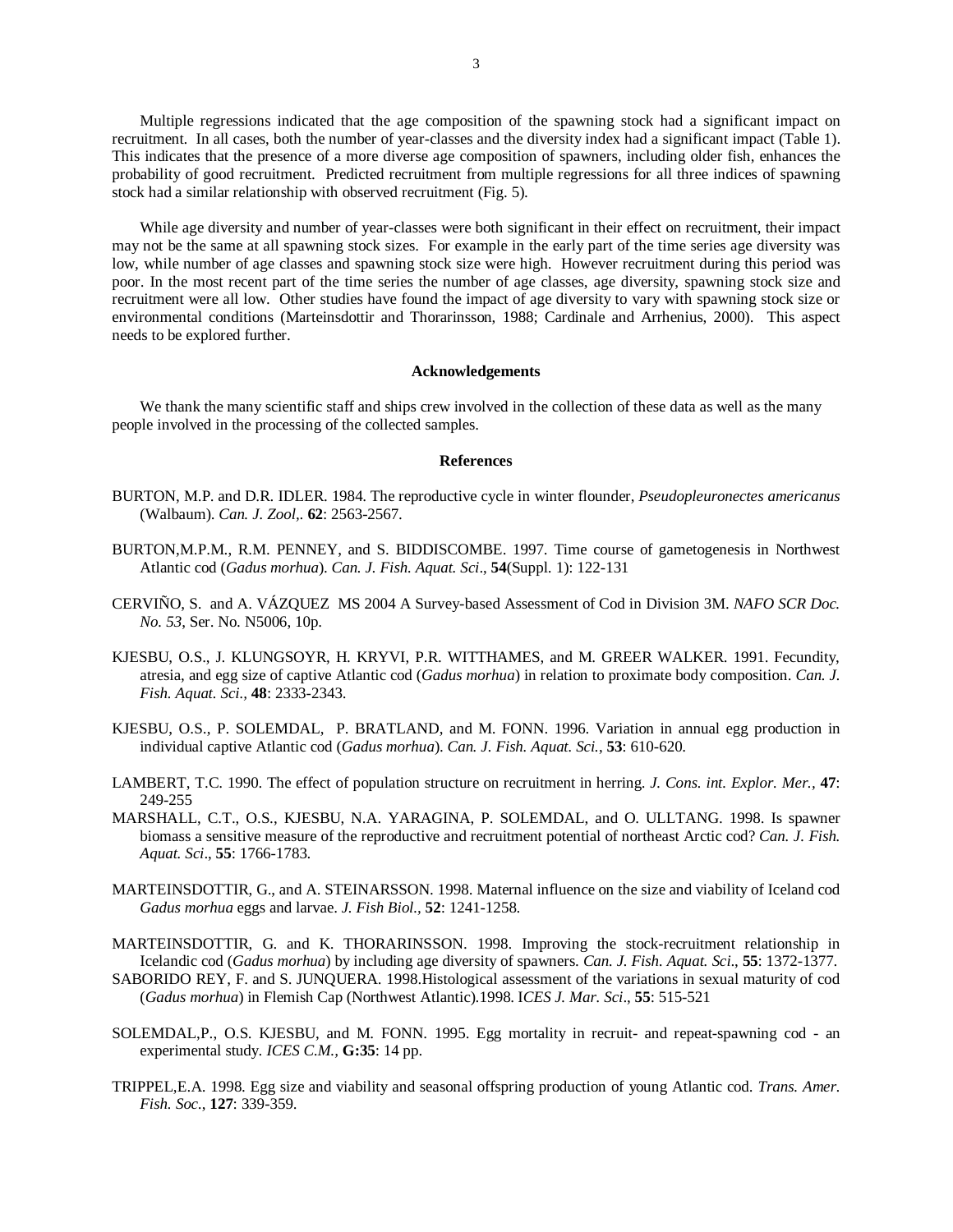Multiple regressions indicated that the age composition of the spawning stock had a significant impact on recruitment. In all cases, both the number of year-classes and the diversity index had a significant impact (Table 1). This indicates that the presence of a more diverse age composition of spawners, including older fish, enhances the probability of good recruitment. Predicted recruitment from multiple regressions for all three indices of spawning stock had a similar relationship with observed recruitment (Fig. 5).

While age diversity and number of year-classes were both significant in their effect on recruitment, their impact may not be the same at all spawning stock sizes. For example in the early part of the time series age diversity was low, while number of age classes and spawning stock size were high. However recruitment during this period was poor. In the most recent part of the time series the number of age classes, age diversity, spawning stock size and recruitment were all low. Other studies have found the impact of age diversity to vary with spawning stock size or environmental conditions (Marteinsdottir and Thorarinsson, 1988; Cardinale and Arrhenius, 2000). This aspect needs to be explored further.

### **Acknowledgements**

We thank the many scientific staff and ships crew involved in the collection of these data as well as the many people involved in the processing of the collected samples.

## **References**

- BURTON, M.P. and D.R. IDLER. 1984. The reproductive cycle in winter flounder, *Pseudopleuronectes americanus* (Walbaum). *Can. J. Zool,*. **62**: 2563-2567.
- BURTON,M.P.M., R.M. PENNEY, and S. BIDDISCOMBE. 1997. Time course of gametogenesis in Northwest Atlantic cod (*Gadus morhua*). *Can. J. Fish. Aquat. Sci*., **54**(Suppl. 1): 122-131
- CERVIÑO, S. and A. VÁZQUEZ MS 2004 A Survey-based Assessment of Cod in Division 3M. *NAFO SCR Doc. No. 53*, Ser. No. N5006, 10p.
- KJESBU, O.S., J. KLUNGSOYR, H. KRYVI, P.R. WITTHAMES, and M. GREER WALKER. 1991. Fecundity, atresia, and egg size of captive Atlantic cod (*Gadus morhua*) in relation to proximate body composition. *Can. J. Fish. Aquat. Sci.,* **48**: 2333-2343.
- KJESBU, O.S., P. SOLEMDAL, P. BRATLAND, and M. FONN. 1996. Variation in annual egg production in individual captive Atlantic cod (*Gadus morhua*). *Can. J. Fish. Aquat. Sci.*, **53**: 610-620.
- LAMBERT, T.C. 1990. The effect of population structure on recruitment in herring. *J. Cons. int. Explor. Mer.,* **47**: 249-255
- MARSHALL, C.T., O.S., KJESBU, N.A. YARAGINA, P. SOLEMDAL, and O. ULLTANG. 1998. Is spawner biomass a sensitive measure of the reproductive and recruitment potential of northeast Arctic cod? *Can. J. Fish. Aquat. Sci*., **55**: 1766-1783.
- MARTEINSDOTTIR, G., and A. STEINARSSON. 1998. Maternal influence on the size and viability of Iceland cod *Gadus morhua* eggs and larvae. *J. Fish Biol.,* **52**: 1241-1258.

MARTEINSDOTTIR, G. and K. THORARINSSON. 1998. Improving the stock-recruitment relationship in Icelandic cod (*Gadus morhua*) by including age diversity of spawners. *Can. J. Fish. Aquat. Sci*., **55**: 1372-1377.

- SABORIDO REY, F. and S. JUNQUERA. 1998.Histological assessment of the variations in sexual maturity of cod (*Gadus morhua*) in Flemish Cap (Northwest Atlantic).1998. I*CES J. Mar. Sci*., **55**: 515-521
- SOLEMDAL,P., O.S. KJESBU, and M. FONN. 1995. Egg mortality in recruit- and repeat-spawning cod an experimental study. *ICES C.M.,* **G:35**: 14 pp.
- TRIPPEL,E.A. 1998. Egg size and viability and seasonal offspring production of young Atlantic cod. *Trans. Amer. Fish. Soc*., **127**: 339-359.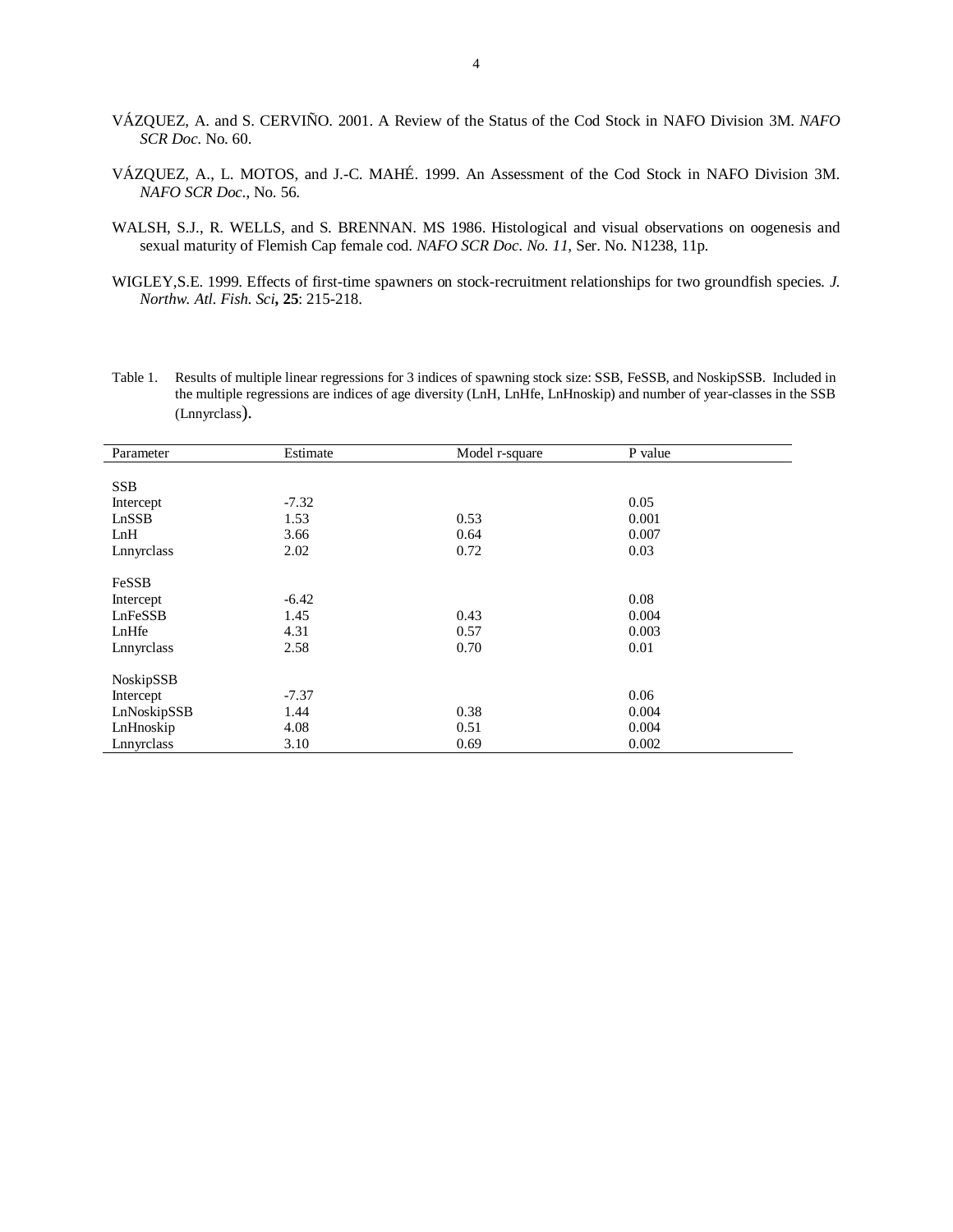- VÁZQUEZ, A. and S. CERVIÑO. 2001. A Review of the Status of the Cod Stock in NAFO Division 3M. *NAFO SCR Doc*. No. 60.
- VÁZQUEZ, A., L. MOTOS, and J.-C. MAHÉ. 1999. An Assessment of the Cod Stock in NAFO Division 3M. *NAFO SCR Doc*., No. 56.
- WALSH, S.J., R. WELLS, and S. BRENNAN. MS 1986. Histological and visual observations on oogenesis and sexual maturity of Flemish Cap female cod. *NAFO SCR Doc*. *No. 11,* Ser. No. N1238, 11p.
- WIGLEY,S.E. 1999. Effects of first-time spawners on stock-recruitment relationships for two groundfish species*. J. Northw. Atl. Fish. Sci***, 25**: 215-218.
- Table 1. Results of multiple linear regressions for 3 indices of spawning stock size: SSB, FeSSB, and NoskipSSB. Included in the multiple regressions are indices of age diversity (LnH, LnHfe, LnHnoskip) and number of year-classes in the SSB (Lnnyrclass).

| Parameter   | Estimate | Model r-square | P value |
|-------------|----------|----------------|---------|
|             |          |                |         |
| <b>SSB</b>  |          |                |         |
| Intercept   | $-7.32$  |                | 0.05    |
| LnSSB       | 1.53     | 0.53           | 0.001   |
| LnH         | 3.66     | 0.64           | 0.007   |
| Lnnyrclass  | 2.02     | 0.72           | 0.03    |
|             |          |                |         |
| FeSSB       |          |                |         |
| Intercept   | $-6.42$  |                | 0.08    |
| LnFeSSB     | 1.45     | 0.43           | 0.004   |
| LnHfe       | 4.31     | 0.57           | 0.003   |
| Lnnyrclass  | 2.58     | 0.70           | 0.01    |
| NoskipSSB   |          |                |         |
| Intercept   | $-7.37$  |                | 0.06    |
| LnNoskipSSB | 1.44     | 0.38           | 0.004   |
| LnHnoskip   | 4.08     | 0.51           | 0.004   |
| Lnnyrclass  | 3.10     | 0.69           | 0.002   |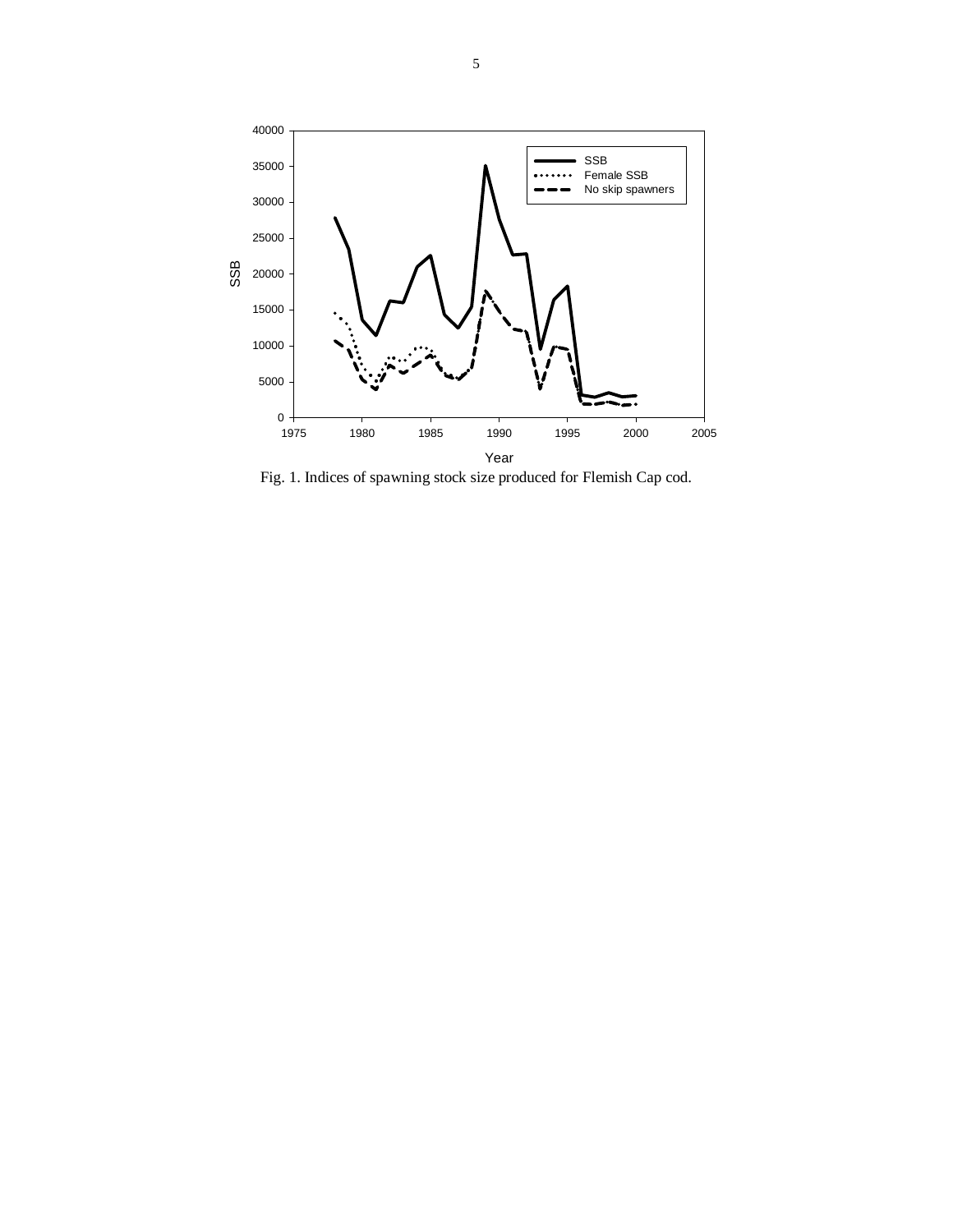

Fig. 1. Indices of spawning stock size produced for Flemish Cap cod.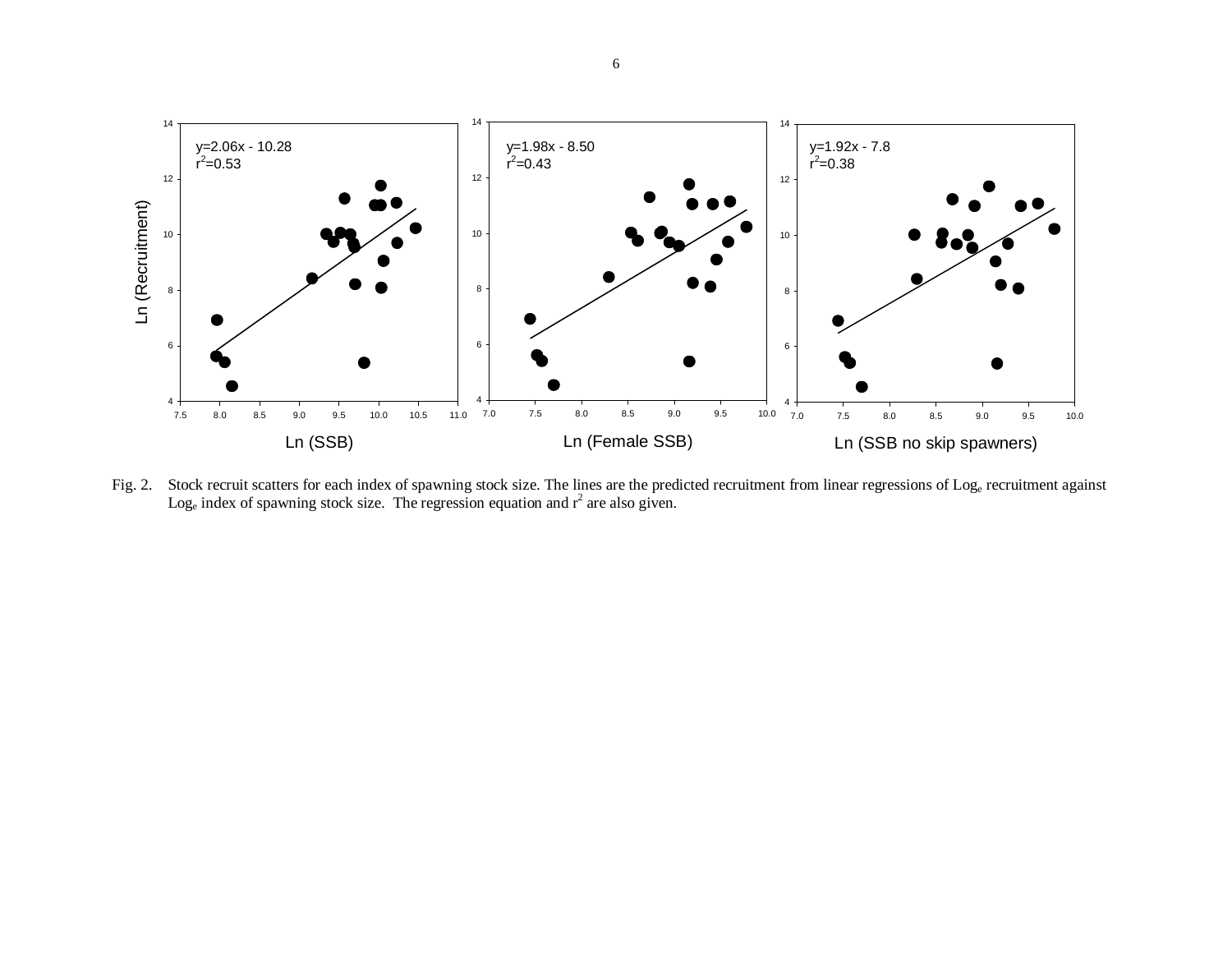

Fig. 2. Stock recruit scatters for each index of spawning stock size. The lines are the predicted recruitment from linear regressions of Log<sub>e</sub> recruitment against Log<sub>e</sub> index of spawning stock size. The regression equation and  $r^2$  are also given.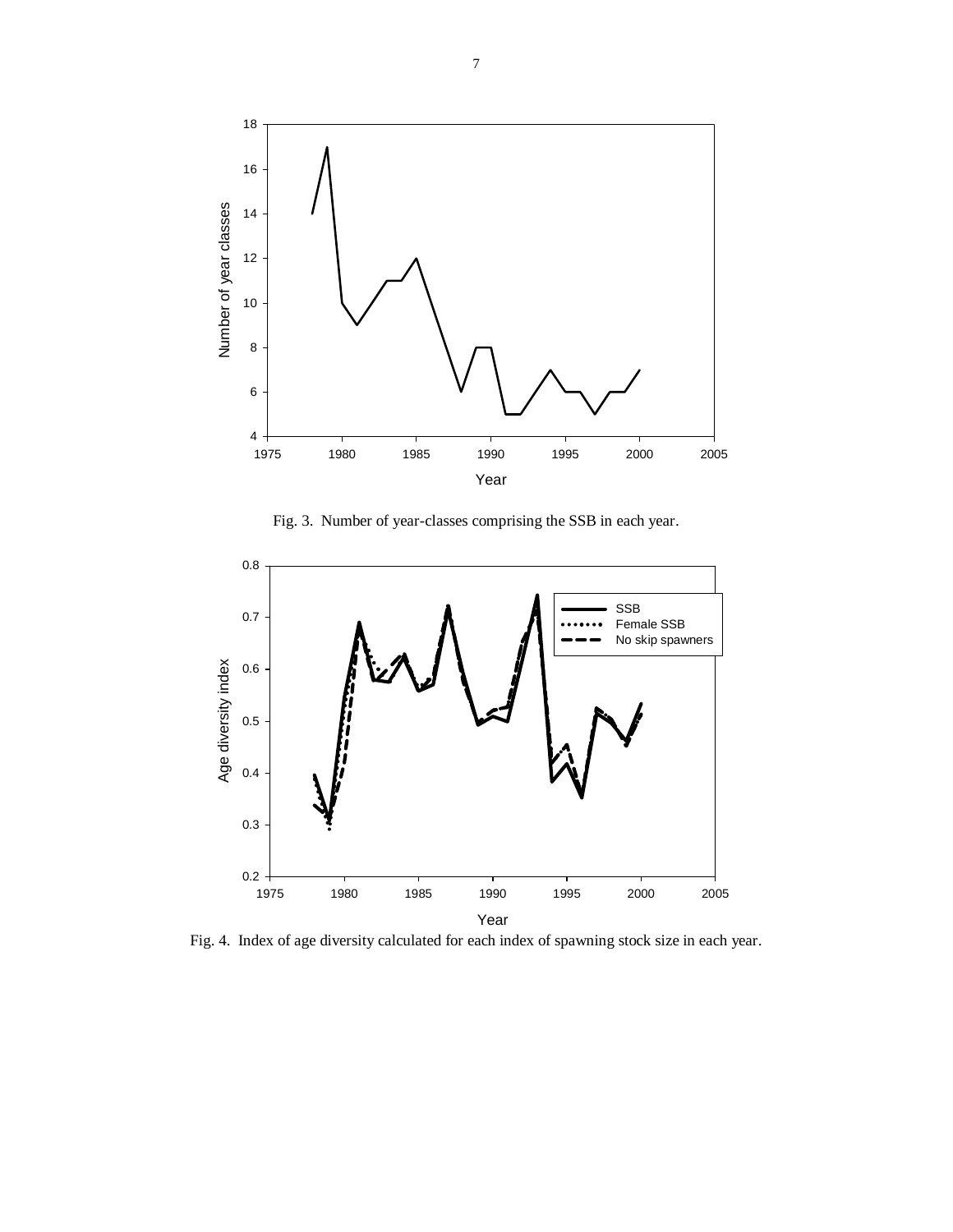

Fig. 3. Number of year-classes comprising the SSB in each year.



Fig. 4. Index of age diversity calculated for each index of spawning stock size in each year.